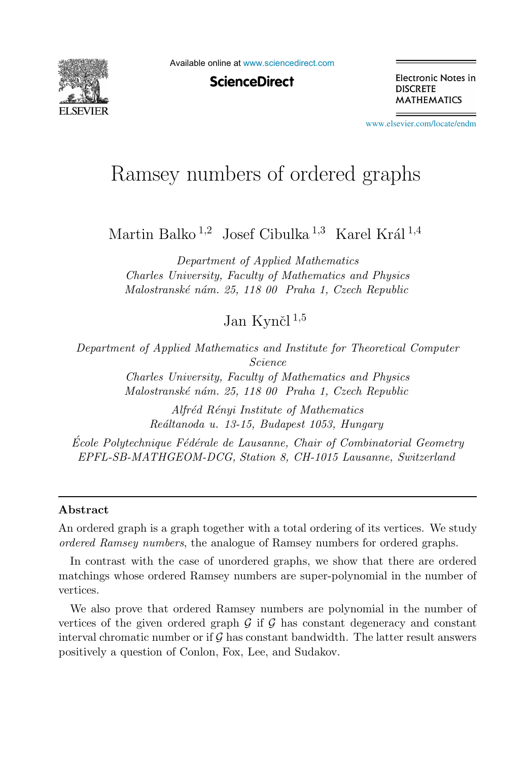

Available online at [www.sciencedirect.com](http://www.sciencedirect.com)

**ScienceDirect** 

Electronic Notes in **DISCRETE MATHEMATICS** 

[www.elsevier.com/locate/endm](http://www.elsevier.com/locate/endm)

# Ramsey numbers of ordered graphs

Martin Balko<sup>1,2</sup> Josef Cibulka<sup>1,3</sup> Karel Král<sup>1,4</sup>

*Department of Applied Mathematics Charles University, Faculty of Mathematics and Physics Malostransk´e n´am. 25, 118 00 Praha 1, Czech Republic*

Jan Kynčl $^{1,5}$ 

*Department of Applied Mathematics and Institute for Theoretical Computer Science Charles University, Faculty of Mathematics and Physics Malostransk´e n´am. 25, 118 00 Praha 1, Czech Republic*

> *Alfr´ed R´enyi Institute of Mathematics Re´altanoda u. 13-15, Budapest 1053, Hungary*

*Ecole Polytechnique Fédérale de Lausanne, Chair of Combinatorial Geometry EPFL-SB-MATHGEOM-DCG, Station 8, CH-1015 Lausanne, Switzerland*

#### Abstract

An ordered graph is a graph together with a total ordering of its vertices. We study *ordered Ramsey numbers*, the analogue of Ramsey numbers for ordered graphs.

In contrast with the case of unordered graphs, we show that there are ordered matchings whose ordered Ramsey numbers are super-polynomial in the number of vertices.

We also prove that ordered Ramsey numbers are polynomial in the number of vertices of the given ordered graph  $\mathcal G$  if  $\mathcal G$  has constant degeneracy and constant interval chromatic number or if  $\mathcal G$  has constant bandwidth. The latter result answers positively a question of Conlon, Fox, Lee, and Sudakov.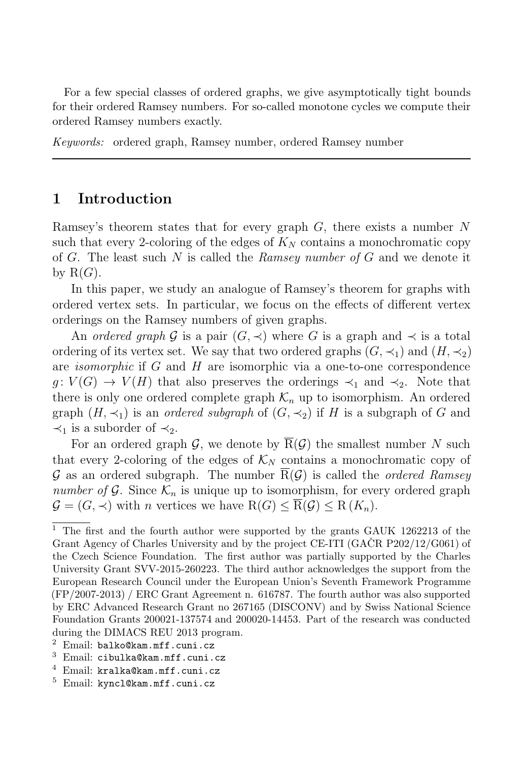For a few special classes of ordered graphs, we give asymptotically tight bounds for their ordered Ramsey numbers. For so-called monotone cycles we compute their ordered Ramsey numbers exactly.

*Keywords:* ordered graph, Ramsey number, ordered Ramsey number

## 1 Introduction

Ramsey's theorem states that for every graph  $G$ , there exists a number N such that every 2-coloring of the edges of  $K_N$  contains a monochromatic copy of G. The least such N is called the Ramsey number of G and we denote it by  $R(G)$ .

In this paper, we study an analogue of Ramsey's theorem for graphs with ordered vertex sets. In particular, we focus on the effects of different vertex orderings on the Ramsey numbers of given graphs.

An *ordered graph* G is a pair  $(G, \prec)$  where G is a graph and  $\prec$  is a total ordering of its vertex set. We say that two ordered graphs  $(G, \prec_1)$  and  $(H, \prec_2)$ are isomorphic if G and H are isomorphic via a one-to-one correspondence  $g: V(G) \to V(H)$  that also preserves the orderings  $\prec_1$  and  $\prec_2$ . Note that there is only one ordered complete graph  $\mathcal{K}_n$  up to isomorphism. An ordered graph  $(H, \prec_1)$  is an *ordered subgraph* of  $(G, \prec_2)$  if H is a subgraph of G and  $\prec_1$  is a suborder of  $\prec_2$ .

For an ordered graph  $\mathcal{G}$ , we denote by  $\overline{R}(\mathcal{G})$  the smallest number N such that every 2-coloring of the edges of  $\mathcal{K}_N$  contains a monochromatic copy of G as an ordered subgraph. The number  $\overline{R}(\mathcal{G})$  is called the *ordered Ramsey* number of G. Since  $\mathcal{K}_n$  is unique up to isomorphism, for every ordered graph  $\mathcal{G} = (G, \prec)$  with *n* vertices we have  $R(G) \leq R(\mathcal{G}) \leq R(K_n)$ .

- <sup>3</sup> Email: cibulka@kam.mff.cuni.cz
- <sup>4</sup> Email: kralka@kam.mff.cuni.cz
- <sup>5</sup> Email: kyncl@kam.mff.cuni.cz

<sup>&</sup>lt;sup>1</sup> The first and the fourth author were supported by the grants GAUK 1262213 of the Grant Agency of Charles University and by the project CE-ITI (GACR  $P202/12/G061$ ) of the Czech Science Foundation. The first author was partially supported by the Charles University Grant SVV-2015-260223. The third author acknowledges the support from the European Research Council under the European Union's Seventh Framework Programme (FP/2007-2013) / ERC Grant Agreement n. 616787. The fourth author was also supported by ERC Advanced Research Grant no 267165 (DISCONV) and by Swiss National Science Foundation Grants 200021-137574 and 200020-14453. Part of the research was conducted during the DIMACS REU 2013 program.

 $2$  Email: balko@kam.mff.cuni.cz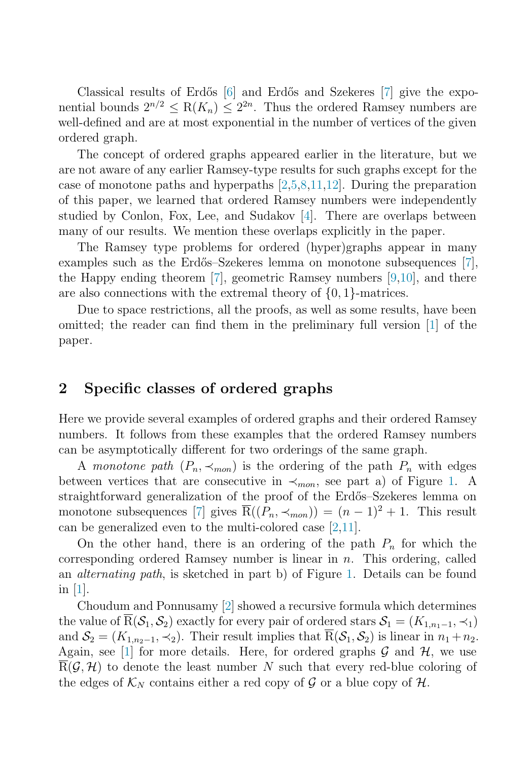Classical results of Erdős [\[6\]](#page-5-0) and Erdős and Szekeres [\[7\]](#page-5-1) give the exponential bounds  $2^{n/2} < R(K_n) < 2^{2n}$ . Thus the ordered Ramsey numbers are well-defined and are at most exponential in the number of vertices of the given ordered graph.

The concept of ordered graphs appeared earlier in the literature, but we are not aware of any earlier Ramsey-type results for such graphs except for the case of monotone paths and hyperpaths [\[2](#page-5-2)[,5,](#page-5-3)[8,](#page-5-4)[11,](#page-5-5)[12\]](#page-5-6). During the preparation of this paper, we learned that ordered Ramsey numbers were independently studied by Conlon, Fox, Lee, and Sudakov [\[4\]](#page-5-7). There are overlaps between many of our results. We mention these overlaps explicitly in the paper.

The Ramsey type problems for ordered (hyper)graphs appear in many examples such as the Erdős–Szekeres lemma on monotone subsequences  $[7]$ , the Happy ending theorem [\[7\]](#page-5-1), geometric Ramsey numbers [\[9](#page-5-8)[,10\]](#page-5-9), and there are also connections with the extremal theory of  $\{0, 1\}$ -matrices.

Due to space restrictions, all the proofs, as well as some results, have been omitted; the reader can find them in the preliminary full version [\[1\]](#page-5-10) of the paper.

### 2 Specific classes of ordered graphs

Here we provide several examples of ordered graphs and their ordered Ramsey numbers. It follows from these examples that the ordered Ramsey numbers can be asymptotically different for two orderings of the same graph.

A monotone path  $(P_n, \prec_{mon})$  is the ordering of the path  $P_n$  with edges between vertices that are consecutive in  $\prec_{mon}$ , see part a) of Figure [1.](#page-3-0) A straightforward generalization of the proof of the Erdős–Szekeres lemma on monotone subsequences [\[7\]](#page-5-1) gives  $\overline{R}((P_n, \prec_{mon})) = (n-1)^2 + 1$ . This result can be generalized even to the multi-colored case [\[2,](#page-5-2)[11\]](#page-5-5).

On the other hand, there is an ordering of the path  $P_n$  for which the corresponding ordered Ramsey number is linear in  $n$ . This ordering, called an alternating path, is sketched in part b) of Figure [1.](#page-3-0) Details can be found in  $|1|$ .

Choudum and Ponnusamy [\[2\]](#page-5-2) showed a recursive formula which determines the value of  $\overline{R}(\mathcal{S}_1,\mathcal{S}_2)$  exactly for every pair of ordered stars  $\mathcal{S}_1 = (K_{1,n_1-1},\prec_1)$ and  $S_2 = (K_{1,n_2-1}, \prec_2)$ . Their result implies that  $\overline{R}(S_1, S_2)$  is linear in  $n_1 + n_2$ . Again, see [\[1\]](#page-5-10) for more details. Here, for ordered graphs  $\mathcal G$  and  $\mathcal H$ , we use  $R(G, H)$  to denote the least number N such that every red-blue coloring of the edges of  $\mathcal{K}_N$  contains either a red copy of  $\mathcal G$  or a blue copy of  $\mathcal H$ .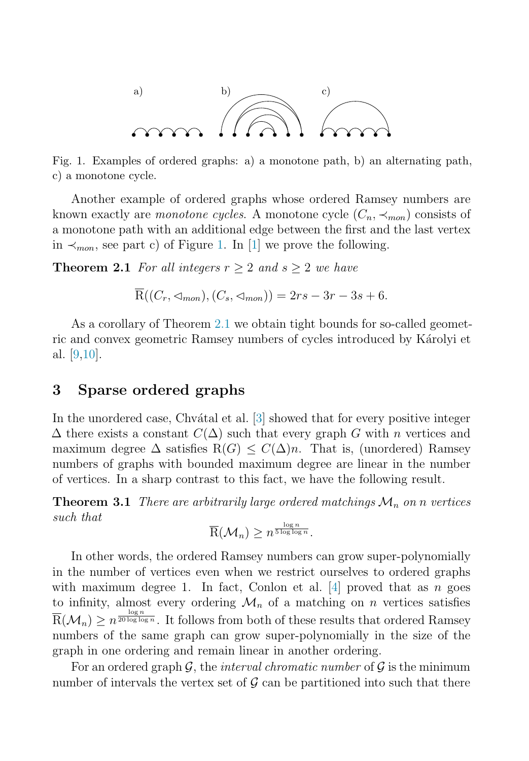<span id="page-3-0"></span>

Fig. 1. Examples of ordered graphs: a) a monotone path, b) an alternating path, c) a monotone cycle.

<span id="page-3-1"></span>Another example of ordered graphs whose ordered Ramsey numbers are known exactly are monotone cycles. A monotone cycle  $(C_n, \prec_{mon})$  consists of a monotone path with an additional edge between the first and the last vertex in  $\prec$ <sub>mon</sub>, see part c) of Figure [1.](#page-3-0) In [\[1\]](#page-5-10) we prove the following.

**Theorem 2.1** For all integers  $r > 2$  and  $s > 2$  we have

$$
\overline{\mathcal{R}}((C_r, \triangleleft_{mon}), (C_s, \triangleleft_{mon})) = 2rs - 3r - 3s + 6.
$$

As a corollary of Theorem [2.1](#page-3-1) we obtain tight bounds for so-called geometric and convex geometric Ramsey numbers of cycles introduced by Károlyi et al. [\[9](#page-5-8)[,10\]](#page-5-9).

#### 3 Sparse ordered graphs

In the unordered case, Chv $\alpha$ tal et al. [\[3\]](#page-5-11) showed that for every positive integer  $\Delta$  there exists a constant  $C(\Delta)$  such that every graph G with n vertices and maximum degree  $\Delta$  satisfies R(G)  $\leq C(\Delta)n$ . That is, (unordered) Ramsey numbers of graphs with bounded maximum degree are linear in the number of vertices. In a sharp contrast to this fact, we have the following result.

**Theorem 3.1** There are arbitrarily large ordered matchings  $\mathcal{M}_n$  on n vertices such that

$$
\overline{\mathrm{R}}(\mathcal{M}_n) \geq n^{\frac{\log n}{5 \log \log n}}.
$$

In other words, the ordered Ramsey numbers can grow super-polynomially in the number of vertices even when we restrict ourselves to ordered graphs with maximum degree 1. In fact, Conlon et al.  $[4]$  proved that as n goes to infinity, almost every ordering  $\mathcal{M}_n$  of a matching on n vertices satisfies  $\overline{R}(\mathcal{M}_n) \geq n^{\frac{\log n}{20 \log \log n}}$ . It follows from both of these results that ordered Ramsey numbers of the same graph can grow super-polynomially in the size of the graph in one ordering and remain linear in another ordering.

For an ordered graph  $\mathcal{G}$ , the *interval chromatic number* of  $\mathcal{G}$  is the minimum number of intervals the vertex set of  $\mathcal G$  can be partitioned into such that there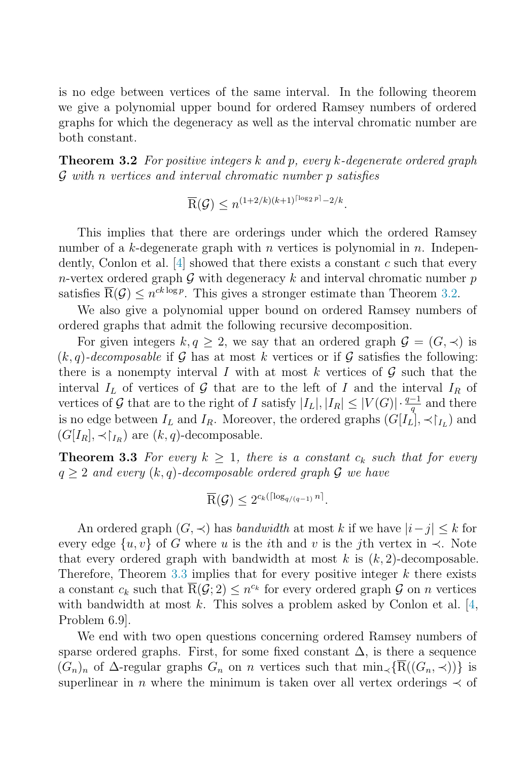<span id="page-4-0"></span>is no edge between vertices of the same interval. In the following theorem we give a polynomial upper bound for ordered Ramsey numbers of ordered graphs for which the degeneracy as well as the interval chromatic number are both constant.

**Theorem 3.2** For positive integers k and p, every k-degenerate ordered graph G with n vertices and interval chromatic number p satisfies

$$
\overline{\mathrm{R}}(\mathcal{G}) \leq n^{(1+2/k)(k+1)^{\lceil \log_2 p \rceil} - 2/k}
$$

This implies that there are orderings under which the ordered Ramsey number of a k-degenerate graph with n vertices is polynomial in n. Independently, Conlon et al.  $[4]$  showed that there exists a constant c such that every n-vertex ordered graph G with degeneracy k and interval chromatic number  $p$ satisfies  $\overline{R}(\mathcal{G}) \leq n^{ck \log p}$ . This gives a stronger estimate than Theorem [3.2.](#page-4-0)

We also give a polynomial upper bound on ordered Ramsey numbers of ordered graphs that admit the following recursive decomposition.

<span id="page-4-1"></span>For given integers  $k, q \geq 2$ , we say that an ordered graph  $\mathcal{G} = (G, \prec)$  is  $(k, q)$ -decomposable if G has at most k vertices or if G satisfies the following: there is a nonempty interval I with at most k vertices of  $\mathcal G$  such that the interval  $I_L$  of vertices of G that are to the left of I and the interval  $I_R$  of vertices of G that are to the right of I satisfy  $|I_L|, |I_R| \leq |V(G)| \cdot \frac{q-1}{q}$  and there is no edge between  $I_L$  and  $I_R$ . Moreover, the ordered graphs  $(G[I_L], \prec \upharpoonright_{I_L})$  and  $(G[I_R], \prec \upharpoonright_{I_R})$  are  $(k, q)$ -decomposable.

**Theorem 3.3** For every  $k \geq 1$ , there is a constant  $c_k$  such that for every  $q \geq 2$  and every  $(k, q)$ -decomposable ordered graph  $\mathcal G$  we have

$$
\overline{\mathrm{R}}(\mathcal{G}) \leq 2^{c_k(\lceil \log_{q/(q-1)} n \rceil}.
$$

An ordered graph  $(G, \prec)$  has bandwidth at most k if we have  $|i-j| \leq k$  for every edge  $\{u, v\}$  of G where u is the *i*th and v is the *j*th vertex in  $\prec$ . Note that every ordered graph with bandwidth at most k is  $(k, 2)$ -decomposable. Therefore, Theorem [3.3](#page-4-1) implies that for every positive integer  $k$  there exists a constant  $c_k$  such that  $\overline{R}(\mathcal{G};2) \leq n^{c_k}$  for every ordered graph  $\mathcal G$  on n vertices with bandwidth at most  $k$ . This solves a problem asked by Conlon et al. [\[4,](#page-5-7) Problem 6.9].

We end with two open questions concerning ordered Ramsey numbers of sparse ordered graphs. First, for some fixed constant  $\Delta$ , is there a sequence  $(G_n)_n$  of  $\Delta$ -regular graphs  $G_n$  on n vertices such that  $\min_{\prec} {\{\overline{\mathcal{R}}((G_n, \prec))\}}$  is superlinear in n where the minimum is taken over all vertex orderings  $\prec$  of